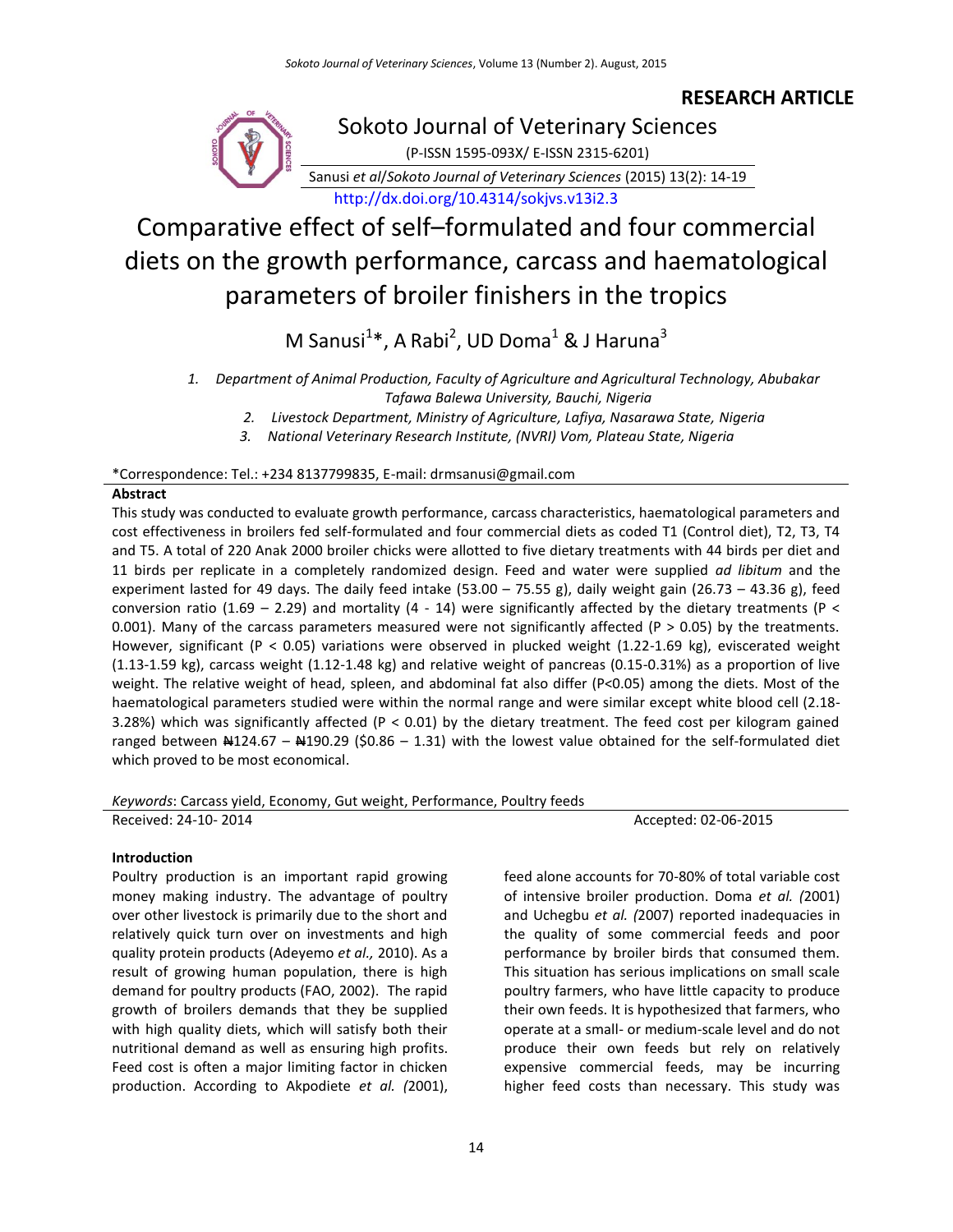## **RESEARCH ARTICLE**



Sokoto Journal of Veterinary Sciences

(P-ISSN 1595-093X/ E-ISSN 2315-6201)

Sanusi *et al*/*Sokoto Journal of Veterinary Sciences* (2015) 13(2): 14-19 [http://dx.doi.org/10.4314/sokjvs.v13i2.3](http://dx.doi.org/10.4314/sokjvs.v13i1.1)

# Comparative effect of self–formulated and four commercial diets on the growth performance, carcass and haematological parameters of broiler finishers in the tropics

M Sanusi $^{1*}$ , A Rabi<sup>2</sup>, UD Doma $^{1}$  & J Haruna $^{3}$ 

*2. Livestock Department, Ministry of Agriculture, Lafiya, Nasarawa State, Nigeria*

*3. National Veterinary Research Institute, (NVRI) Vom, Plateau State, Nigeria*

## \*Correspondence: Tel.: +234 8137799835, E-mail: drmsanusi@gmail.com

#### **Abstract**

This study was conducted to evaluate growth performance, carcass characteristics, haematological parameters and cost effectiveness in broilers fed self-formulated and four commercial diets as coded T1 (Control diet), T2, T3, T4 and T5. A total of 220 Anak 2000 broiler chicks were allotted to five dietary treatments with 44 birds per diet and 11 birds per replicate in a completely randomized design. Feed and water were supplied *ad libitum* and the experiment lasted for 49 days. The daily feed intake (53.00 - 75.55 g), daily weight gain (26.73 - 43.36 g), feed conversion ratio (1.69 – 2.29) and mortality (4 - 14) were significantly affected by the dietary treatments (P < 0.001). Many of the carcass parameters measured were not significantly affected (P  $>$  0.05) by the treatments. However, significant (P < 0.05) variations were observed in plucked weight (1.22-1.69 kg), eviscerated weight (1.13-1.59 kg), carcass weight (1.12-1.48 kg) and relative weight of pancreas (0.15-0.31%) as a proportion of live weight. The relative weight of head, spleen, and abdominal fat also differ (P<0.05) among the diets. Most of the haematological parameters studied were within the normal range and were similar except white blood cell (2.18- 3.28%) which was significantly affected (P < 0.01) by the dietary treatment. The feed cost per kilogram gained ranged between  $\text{A124.67} - \text{A190.29}$  (\$0.86 – 1.31) with the lowest value obtained for the self-formulated diet which proved to be most economical.

## *Keywords*: Carcass yield, Economy, Gut weight, Performance, Poultry feeds

Received: 24-10-2014 **Accepted: 02-06-2015** 

## **Introduction**

Poultry production is an important rapid growing money making industry. The advantage of poultry over other livestock is primarily due to the short and relatively quick turn over on investments and high quality protein products (Adeyemo *et al.,* 2010). As a result of growing human population, there is high demand for poultry products (FAO, 2002). The rapid growth of broilers demands that they be supplied with high quality diets, which will satisfy both their nutritional demand as well as ensuring high profits. Feed cost is often a major limiting factor in chicken production. According to Akpodiete *et al. (*2001), feed alone accounts for 70-80% of total variable cost of intensive broiler production. Doma *et al. (*2001) and Uchegbu *et al. (*2007) reported inadequacies in the quality of some commercial feeds and poor performance by broiler birds that consumed them. This situation has serious implications on small scale poultry farmers, who have little capacity to produce their own feeds. It is hypothesized that farmers, who operate at a small- or medium-scale level and do not produce their own feeds but rely on relatively expensive commercial feeds, may be incurring higher feed costs than necessary. This study was

*<sup>1.</sup> Department of Animal Production, Faculty of Agriculture and Agricultural Technology, Abubakar Tafawa Balewa University, Bauchi, Nigeria*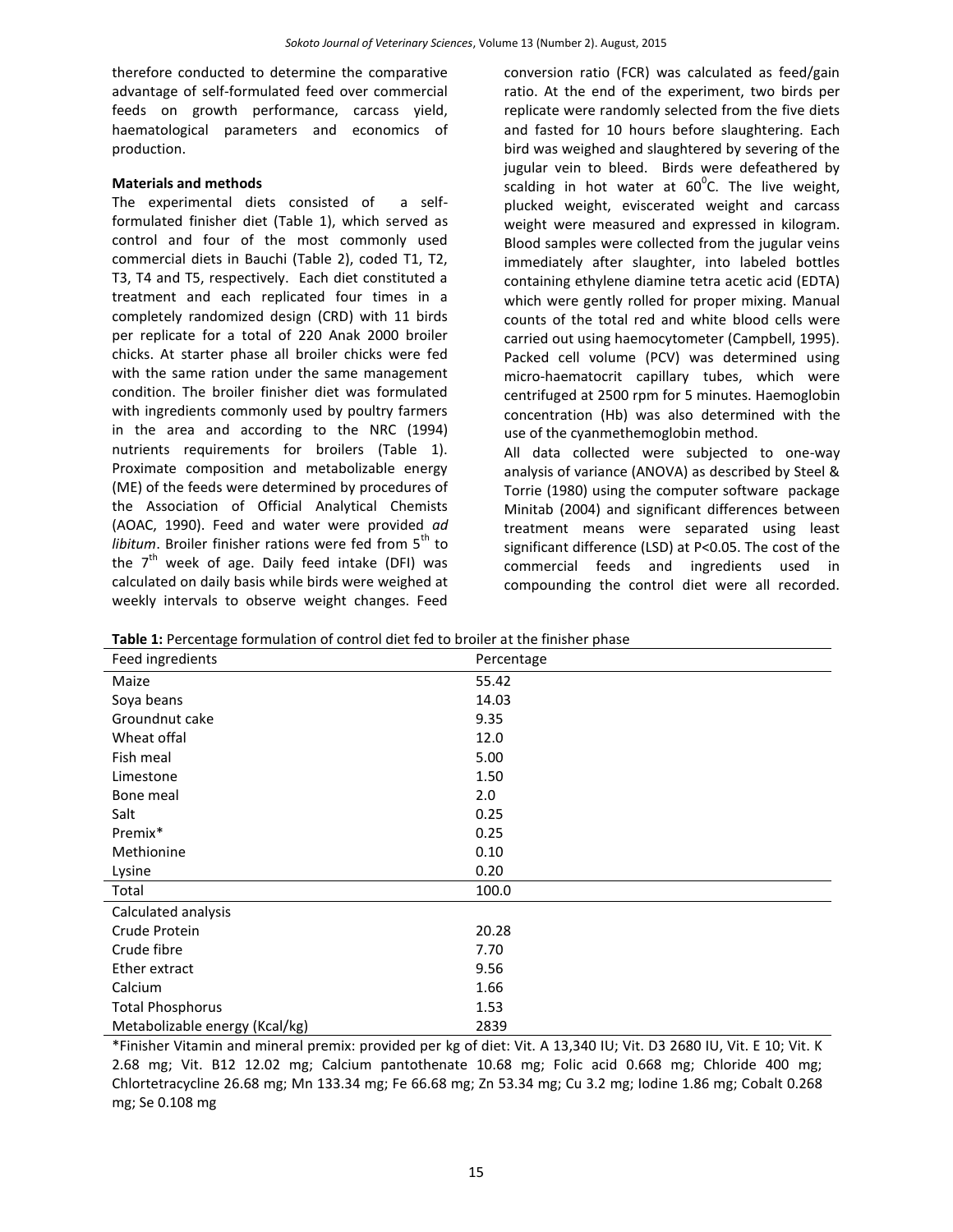therefore conducted to determine the comparative advantage of self-formulated feed over commercial feeds on growth performance, carcass yield, haematological parameters and economics of production.

#### **Materials and methods**

The experimental diets consisted of a selfformulated finisher diet (Table 1), which served as control and four of the most commonly used commercial diets in Bauchi (Table 2), coded T1, T2, T3, T4 and T5, respectively. Each diet constituted a treatment and each replicated four times in a completely randomized design (CRD) with 11 birds per replicate for a total of 220 Anak 2000 broiler chicks. At starter phase all broiler chicks were fed with the same ration under the same management condition. The broiler finisher diet was formulated with ingredients commonly used by poultry farmers in the area and according to the NRC (1994) nutrients requirements for broilers (Table 1). Proximate composition and metabolizable energy (ME) of the feeds were determined by procedures of the Association of Official Analytical Chemists (AOAC, 1990). Feed and water were provided *ad libitum*. Broiler finisher rations were fed from 5<sup>th</sup> to the  $7<sup>th</sup>$  week of age. Daily feed intake (DFI) was calculated on daily basis while birds were weighed at weekly intervals to observe weight changes. Feed

conversion ratio (FCR) was calculated as feed/gain ratio. At the end of the experiment, two birds per replicate were randomly selected from the five diets and fasted for 10 hours before slaughtering. Each bird was weighed and slaughtered by severing of the jugular vein to bleed. Birds were defeathered by scalding in hot water at  $60^{\circ}$ C. The live weight, plucked weight, eviscerated weight and carcass weight were measured and expressed in kilogram. Blood samples were collected from the jugular veins immediately after slaughter, into labeled bottles containing ethylene diamine tetra acetic acid (EDTA) which were gently rolled for proper mixing. Manual counts of the total red and white blood cells were carried out using haemocytometer (Campbell, 1995). Packed cell volume (PCV) was determined using micro-haematocrit capillary tubes, which were centrifuged at 2500 rpm for 5 minutes. Haemoglobin concentration (Hb) was also determined with the use of the cyanmethemoglobin method.

All data collected were subjected to one-way analysis of variance (ANOVA) as described by Steel & Torrie (1980) using the computer software package Minitab (2004) and significant differences between treatment means were separated using least significant difference (LSD) at P<0.05. The cost of the commercial feeds and ingredients used in compounding the control diet were all recorded.

| <b>Table 1.</b> Telechtage formulation of control diet red to broner at the millioner phase |            |
|---------------------------------------------------------------------------------------------|------------|
| Feed ingredients                                                                            | Percentage |
| Maize                                                                                       | 55.42      |
| Soya beans                                                                                  | 14.03      |
| Groundnut cake                                                                              | 9.35       |
| Wheat offal                                                                                 | 12.0       |
| Fish meal                                                                                   | 5.00       |
| Limestone                                                                                   | 1.50       |
| Bone meal                                                                                   | 2.0        |
| Salt                                                                                        | 0.25       |
| Premix*                                                                                     | 0.25       |
| Methionine                                                                                  | 0.10       |
| Lysine                                                                                      | 0.20       |
| Total                                                                                       | 100.0      |
| Calculated analysis                                                                         |            |
| Crude Protein                                                                               | 20.28      |
| Crude fibre                                                                                 | 7.70       |
| Ether extract                                                                               | 9.56       |
| Calcium                                                                                     | 1.66       |
| <b>Total Phosphorus</b>                                                                     | 1.53       |
| Metabolizable energy (Kcal/kg)                                                              | 2839       |

**Table 1:** Percentage formulation of control diet fed to broiler at the finisher phase

\*Finisher Vitamin and mineral premix: provided per kg of diet: Vit. A 13,340 IU; Vit. D3 2680 IU, Vit. E 10; Vit. K 2.68 mg; Vit. B12 12.02 mg; Calcium pantothenate 10.68 mg; Folic acid 0.668 mg; Chloride 400 mg; Chlortetracycline 26.68 mg; Mn 133.34 mg; Fe 66.68 mg; Zn 53.34 mg; Cu 3.2 mg; Iodine 1.86 mg; Cobalt 0.268 mg; Se 0.108 mg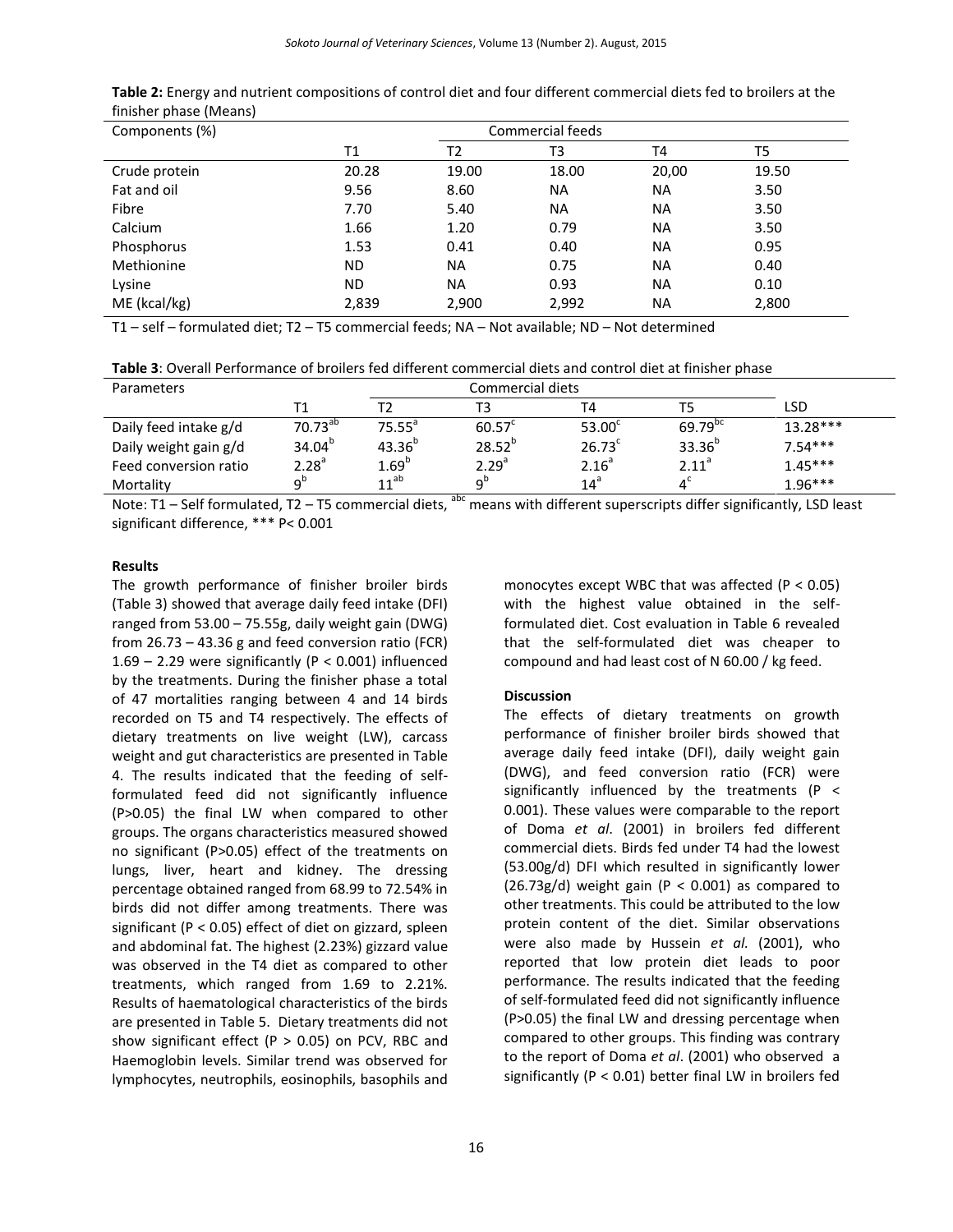| Components (%) | Commercial feeds |           |           |           |       |  |
|----------------|------------------|-----------|-----------|-----------|-------|--|
|                | Τ1               | T2        | T3        | T4        | T5    |  |
| Crude protein  | 20.28            | 19.00     | 18.00     | 20,00     | 19.50 |  |
| Fat and oil    | 9.56             | 8.60      | NA.       | <b>NA</b> | 3.50  |  |
| Fibre          | 7.70             | 5.40      | <b>NA</b> | <b>NA</b> | 3.50  |  |
| Calcium        | 1.66             | 1.20      | 0.79      | <b>NA</b> | 3.50  |  |
| Phosphorus     | 1.53             | 0.41      | 0.40      | <b>NA</b> | 0.95  |  |
| Methionine     | <b>ND</b>        | <b>NA</b> | 0.75      | <b>NA</b> | 0.40  |  |
| Lysine         | <b>ND</b>        | <b>NA</b> | 0.93      | <b>NA</b> | 0.10  |  |
| ME (kcal/kg)   | 2,839            | 2,900     | 2,992     | <b>NA</b> | 2,800 |  |
|                |                  |           |           |           |       |  |

**Table 2:** Energy and nutrient compositions of control diet and four different commercial diets fed to broilers at the finisher phase (Means)

T1 – self – formulated diet; T2 – T5 commercial feeds; NA – Not available; ND – Not determined

| Parameters            |                           |                    |                   |                    |                     |            |
|-----------------------|---------------------------|--------------------|-------------------|--------------------|---------------------|------------|
|                       | Т1                        |                    |                   | T4                 |                     | LSD        |
| Daily feed intake g/d | $70.73^{ab}$              | 75.55 <sup>a</sup> | $60.57^{\circ}$   | 53.00 <sup>c</sup> | 69.79 <sup>bc</sup> | $13.28***$ |
| Daily weight gain g/d | $34.04^{b}$               | $43.36^{b}$        | $28.52^{b}$       | $26.73^c$          | $33.36^{b}$         | $7.54***$  |
| Feed conversion ratio | $2.28^{a}$                | 1.69 <sup>b</sup>  | 2.29 <sup>a</sup> | 2.16 <sup>a</sup>  | 2.11 <sup>a</sup>   | $1.45***$  |
| Mortality             | $\mathsf{a}^{\mathsf{b}}$ | $11^{ab}$          | Ω <sup>b</sup>    | $14^a$             |                     | $1.96***$  |

Note: T1 – Self formulated, T2 – T5 commercial diets,  $a^{abc}$  means with different superscripts differ significantly, LSD least significant difference, \*\*\* P< 0.001

#### **Results**

The growth performance of finisher broiler birds (Table 3) showed that average daily feed intake (DFI) ranged from 53.00 – 75.55g, daily weight gain (DWG) from 26.73 – 43.36 g and feed conversion ratio (FCR) 1.69 – 2.29 were significantly ( $P < 0.001$ ) influenced by the treatments. During the finisher phase a total of 47 mortalities ranging between 4 and 14 birds recorded on T5 and T4 respectively. The effects of dietary treatments on live weight (LW), carcass weight and gut characteristics are presented in Table 4. The results indicated that the feeding of selfformulated feed did not significantly influence (P>0.05) the final LW when compared to other groups. The organs characteristics measured showed no significant (P>0.05) effect of the treatments on lungs, liver, heart and kidney. The dressing percentage obtained ranged from 68.99 to 72.54% in birds did not differ among treatments. There was significant (P < 0.05) effect of diet on gizzard, spleen and abdominal fat. The highest (2.23%) gizzard value was observed in the T4 diet as compared to other treatments, which ranged from 1.69 to 2.21%. Results of haematological characteristics of the birds are presented in Table 5. Dietary treatments did not show significant effect ( $P > 0.05$ ) on PCV, RBC and Haemoglobin levels. Similar trend was observed for lymphocytes, neutrophils, eosinophils, basophils and monocytes except WBC that was affected  $(P < 0.05)$ with the highest value obtained in the selfformulated diet. Cost evaluation in Table 6 revealed that the self-formulated diet was cheaper to compound and had least cost of N 60.00 / kg feed.

#### **Discussion**

The effects of dietary treatments on growth performance of finisher broiler birds showed that average daily feed intake (DFI), daily weight gain (DWG), and feed conversion ratio (FCR) were significantly influenced by the treatments (P < 0.001). These values were comparable to the report of Doma *et al*. (2001) in broilers fed different commercial diets. Birds fed under T4 had the lowest (53.00g/d) DFI which resulted in significantly lower  $(26.73g/d)$  weight gain (P < 0.001) as compared to other treatments. This could be attributed to the low protein content of the diet. Similar observations were also made by Hussein *et al.* (2001), who reported that low protein diet leads to poor performance. The results indicated that the feeding of self-formulated feed did not significantly influence (P>0.05) the final LW and dressing percentage when compared to other groups. This finding was contrary to the report of Doma *et al*. (2001) who observed a significantly (P < 0.01) better final LW in broilers fed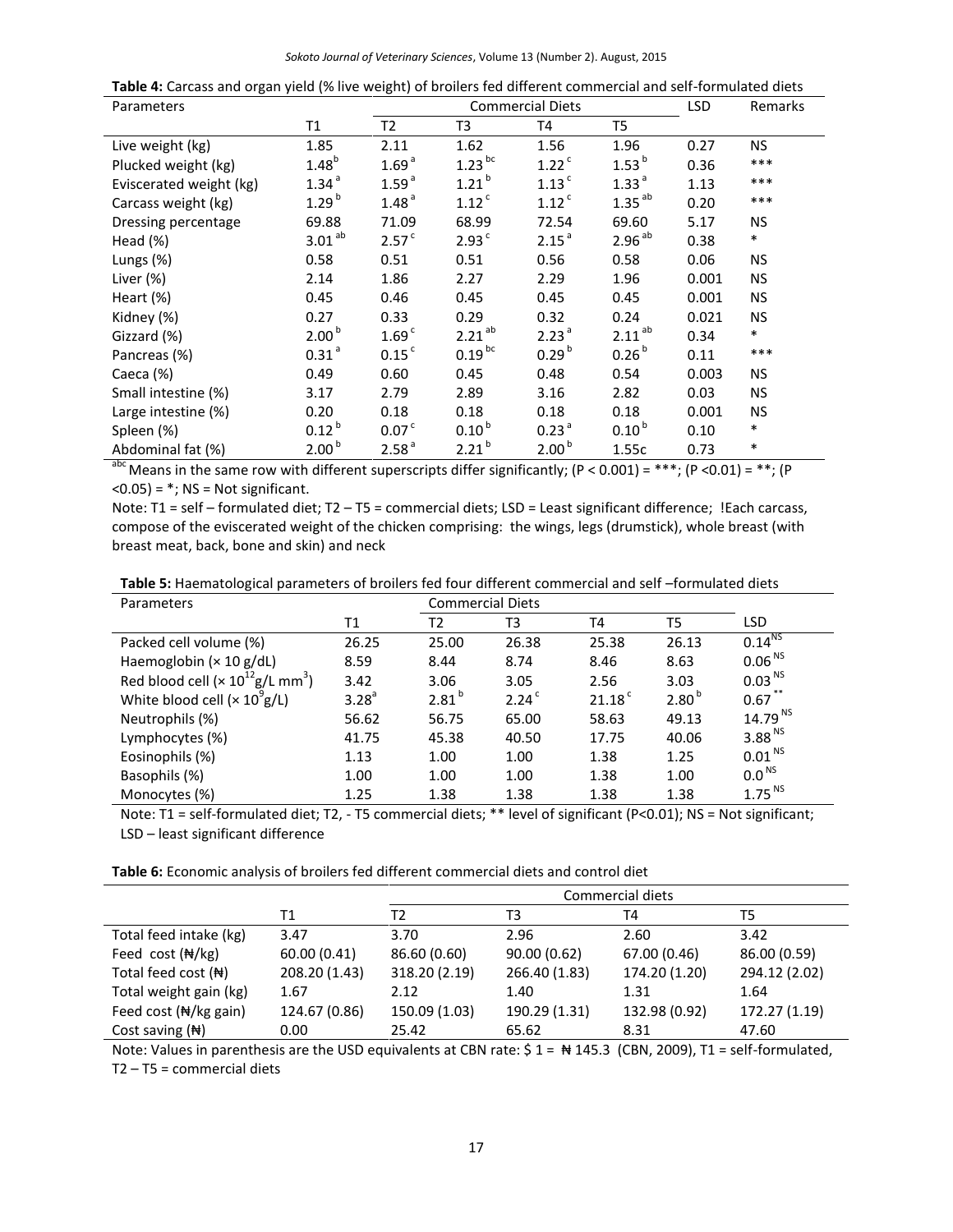|  | Table 4: Carcass and organ yield (% live weight) of broilers fed different commercial and self-formulated diets |
|--|-----------------------------------------------------------------------------------------------------------------|
|  |                                                                                                                 |

| Parameters                  |                     | LSD<br><b>Commercial Diets</b><br>Remarks |                      |                     |                      |       |           |
|-----------------------------|---------------------|-------------------------------------------|----------------------|---------------------|----------------------|-------|-----------|
|                             | Τ1                  | T <sub>2</sub>                            | T3                   | T4                  | T5                   |       |           |
| Live weight (kg)            | 1.85                | 2.11                                      | 1.62                 | 1.56                | 1.96                 | 0.27  | NS.       |
| Plucked weight (kg)         | $1.48^{b}$          | 1.69 <sup>a</sup>                         | $1.23$ <sup>bc</sup> | $1.22$ <sup>c</sup> | $1.53^{b}$           | 0.36  | $***$     |
| Eviscerated weight (kg)     | 1.34 <sup>a</sup>   | 1.59 <sup>a</sup>                         | $1.21^{b}$           | $1.13$ <sup>c</sup> | 1.33 <sup>a</sup>    | 1.13  | $***$     |
| Carcass weight (kg)         | $1.29^{b}$          | 1.48 <sup>a</sup>                         | $1.12$ <sup>c</sup>  | $1.12$ <sup>c</sup> | $1.35$ <sup>ab</sup> | 0.20  | $***$     |
| Dressing percentage         | 69.88               | 71.09                                     | 68.99                | 72.54               | 69.60                | 5.17  | <b>NS</b> |
| Head $(\%)$                 | 3.01 <sup>ab</sup>  | 2.57 <sup>c</sup>                         | 2.93 <sup>c</sup>    | 2.15 <sup>a</sup>   | 2.96 <sup>ab</sup>   | 0.38  | $\ast$    |
| Lungs (%)                   | 0.58                | 0.51                                      | 0.51                 | 0.56                | 0.58                 | 0.06  | NS        |
| Liver (%)                   | 2.14                | 1.86                                      | 2.27                 | 2.29                | 1.96                 | 0.001 | <b>NS</b> |
| Heart (%)                   | 0.45                | 0.46                                      | 0.45                 | 0.45                | 0.45                 | 0.001 | <b>NS</b> |
| Kidney (%)                  | 0.27                | 0.33                                      | 0.29                 | 0.32                | 0.24                 | 0.021 | <b>NS</b> |
| Gizzard (%)                 | 2.00 <sup>b</sup>   | 1.69 <sup>c</sup>                         | $2.21^{ab}$          | 2.23 <sup>a</sup>   | $2.11^{ab}$          | 0.34  | $\ast$    |
| Pancreas (%)                | $0.31$ <sup>a</sup> | $0.15$ <sup>c</sup>                       | $0.19^{bc}$          | 0.29 <sup>b</sup>   | 0.26 <sup>b</sup>    | 0.11  | $***$     |
| Caeca (%)                   | 0.49                | 0.60                                      | 0.45                 | 0.48                | 0.54                 | 0.003 | <b>NS</b> |
| Small intestine (%)         | 3.17                | 2.79                                      | 2.89                 | 3.16                | 2.82                 | 0.03  | <b>NS</b> |
| Large intestine (%)         | 0.20                | 0.18                                      | 0.18                 | 0.18                | 0.18                 | 0.001 | <b>NS</b> |
| Spleen (%)                  | $0.12^{b}$          | 0.07 <sup>c</sup>                         | 0.10 <sup>b</sup>    | 0.23 <sup>a</sup>   | 0.10 <sup>b</sup>    | 0.10  | $\ast$    |
| Abdominal fat (%)<br>$=$ nc | 2.00 <sup>b</sup>   | 2.58 <sup>a</sup>                         | $2.21^{b}$           | 2.00 <sup>b</sup>   | 1.55c                | 0.73  | $\ast$    |

 $a^{abc}$  Means in the same row with different superscripts differ significantly; (P < 0.001) = \*\*\*; (P < 0.01) = \*\*; (P  $(0.05) =$ \*; NS = Not significant.

Note: T1 = self – formulated diet; T2 – T5 = commercial diets; LSD = Least significant difference; !Each carcass, compose of the eviscerated weight of the chicken comprising: the wings, legs (drumstick), whole breast (with breast meat, back, bone and skin) and neck

| Parameters                                              |                   | <b>Commercial Diets</b> |                   |                    |                   |                    |
|---------------------------------------------------------|-------------------|-------------------------|-------------------|--------------------|-------------------|--------------------|
|                                                         | Τ1                | Т2                      | T3                | T <sub>4</sub>     | T5                | <b>LSD</b>         |
| Packed cell volume (%)                                  | 26.25             | 25.00                   | 26.38             | 25.38              | 26.13             | 0.14 <sup>NS</sup> |
| Haemoglobin $(x 10 g/dL)$                               | 8.59              | 8.44                    | 8.74              | 8.46               | 8.63              | 0.06 <sup>NS</sup> |
| Red blood cell ( $\times 10^{12}$ g/L mm <sup>3</sup> ) | 3.42              | 3.06                    | 3.05              | 2.56               | 3.03              | 0.03 <sup>NS</sup> |
| White blood cell ( $\times$ 10 <sup>9</sup> g/L)        | 3.28 <sup>a</sup> | $2.81^{b}$              | 2.24 <sup>c</sup> | 21.18 <sup>c</sup> | 2.80 <sup>b</sup> | $0.67$ **          |
| Neutrophils (%)                                         | 56.62             | 56.75                   | 65.00             | 58.63              | 49.13             | 14.79 NS           |
| Lymphocytes (%)                                         | 41.75             | 45.38                   | 40.50             | 17.75              | 40.06             | 3.88 <sup>NS</sup> |
| Eosinophils (%)                                         | 1.13              | 1.00                    | 1.00              | 1.38               | 1.25              | 0.01 <sup>NS</sup> |
| Basophils (%)                                           | 1.00              | 1.00                    | 1.00              | 1.38               | 1.00              | 0.0 <sup>NS</sup>  |
| Monocytes (%)                                           | 1.25              | 1.38                    | 1.38              | 1.38               | 1.38              | 1.75 <sup>NS</sup> |

Note: T1 = self-formulated diet; T2, - T5 commercial diets; \*\* level of significant (P<0.01); NS = Not significant; LSD – least significant difference

| Table 6: Economic analysis of broilers fed different commercial diets and control diet |
|----------------------------------------------------------------------------------------|
|----------------------------------------------------------------------------------------|

|                                    |               | Commercial diets |               |               |               |  |
|------------------------------------|---------------|------------------|---------------|---------------|---------------|--|
|                                    | Τ1            | Т2               | T3            | T4            | T5            |  |
| Total feed intake (kg)             | 3.47          | 3.70             | 2.96          | 2.60          | 3.42          |  |
| Feed cost $(\frac{A}{A})$          | 60.00(0.41)   | 86.60 (0.60)     | 90.00(0.62)   | 67.00 (0.46)  | 86.00 (0.59)  |  |
| Total feed cost $(\bigstar)$       | 208.20 (1.43) | 318.20 (2.19)    | 266.40 (1.83) | 174.20 (1.20) | 294.12 (2.02) |  |
| Total weight gain (kg)             | 1.67          | 2.12             | 1.40          | 1.31          | 1.64          |  |
| Feed cost $(\frac{A}{N})$ kg gain) | 124.67 (0.86) | 150.09 (1.03)    | 190.29 (1.31) | 132.98 (0.92) | 172.27 (1.19) |  |
| Cost saving $(H)$                  | 0.00          | 25.42            | 65.62         | 8.31          | 47.60         |  |

Note: Values in parenthesis are the USD equivalents at CBN rate:  $$1 = #145.3$  (CBN, 2009), T1 = self-formulated, T2 – T5 = commercial diets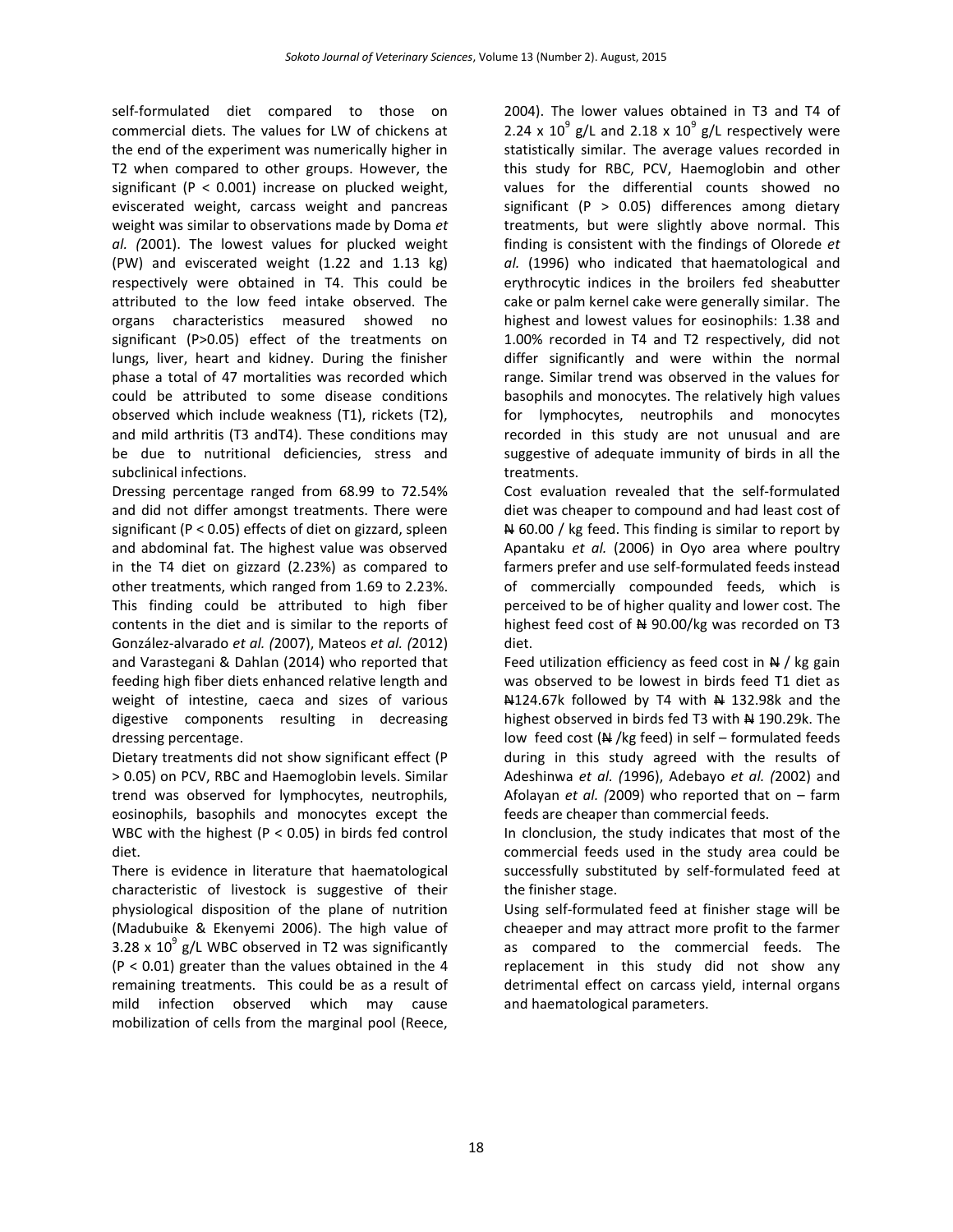self-formulated diet compared to those on commercial diets. The values for LW of chickens at the end of the experiment was numerically higher in T2 when compared to other groups. However, the significant (P < 0.001) increase on plucked weight, eviscerated weight, carcass weight and pancreas weight was similar to observations made by Doma *et al. (*2001). The lowest values for plucked weight (PW) and eviscerated weight (1.22 and 1.13 kg) respectively were obtained in T4. This could be attributed to the low feed intake observed. The organs characteristics measured showed no significant (P>0.05) effect of the treatments on lungs, liver, heart and kidney. During the finisher phase a total of 47 mortalities was recorded which could be attributed to some disease conditions observed which include weakness (T1), rickets (T2), and mild arthritis (T3 andT4). These conditions may be due to nutritional deficiencies, stress and subclinical infections.

Dressing percentage ranged from 68.99 to 72.54% and did not differ amongst treatments. There were significant (P < 0.05) effects of diet on gizzard, spleen and abdominal fat. The highest value was observed in the T4 diet on gizzard (2.23%) as compared to other treatments, which ranged from 1.69 to 2.23%. This finding could be attributed to high fiber contents in the diet and is similar to the reports of González-alvarado *et al. (*2007), Mateos *et al. (*2012) and Varastegani & Dahlan (2014) who reported that feeding high fiber diets enhanced relative length and weight of intestine, caeca and sizes of various digestive components resulting in decreasing dressing percentage.

Dietary treatments did not show significant effect (P > 0.05) on PCV, RBC and Haemoglobin levels. Similar trend was observed for lymphocytes, neutrophils, eosinophils, basophils and monocytes except the WBC with the highest ( $P < 0.05$ ) in birds fed control diet.

There is evidence in literature that haematological characteristic of livestock is suggestive of their physiological disposition of the plane of nutrition (Madubuike & Ekenyemi 2006). The high value of 3.28 x  $10^9$  g/L WBC observed in T2 was significantly (P < 0.01) greater than the values obtained in the 4 remaining treatments. This could be as a result of mild infection observed which may cause mobilization of cells from the marginal pool (Reece,

2004). The lower values obtained in T3 and T4 of 2.24 x  $10^9$  g/L and 2.18 x  $10^9$  g/L respectively were statistically similar. The average values recorded in this study for RBC, PCV, Haemoglobin and other values for the differential counts showed no significant (P  $> 0.05$ ) differences among dietary treatments, but were slightly above normal. This finding is consistent with the findings of Olorede *et al.* (1996) who indicated that haematological and erythrocytic indices in the broilers fed sheabutter cake or palm kernel cake were generally similar. The highest and lowest values for eosinophils: 1.38 and 1.00% recorded in T4 and T2 respectively, did not differ significantly and were within the normal range. Similar trend was observed in the values for basophils and monocytes. The relatively high values for lymphocytes, neutrophils and monocytes recorded in this study are not unusual and are suggestive of adequate immunity of birds in all the treatments.

Cost evaluation revealed that the self-formulated diet was cheaper to compound and had least cost of  $\#$  60.00 / kg feed. This finding is similar to report by Apantaku *et al.* (2006) in Oyo area where poultry farmers prefer and use self-formulated feeds instead of commercially compounded feeds, which is perceived to be of higher quality and lower cost. The highest feed cost of  $\frac{1}{2}$  90.00/kg was recorded on T3 diet.

Feed utilization efficiency as feed cost in  $\frac{N}{N}$  / kg gain was observed to be lowest in birds feed T1 diet as N124.67k followed by T4 with N 132.98k and the highest observed in birds fed T3 with # 190.29k. The low feed cost  $(A \cup B)$  feed) in self – formulated feeds during in this study agreed with the results of Adeshinwa *et al. (*1996), Adebayo *et al. (*2002) and Afolayan *et al. (*2009) who reported that on – farm feeds are cheaper than commercial feeds.

In clonclusion, the study indicates that most of the commercial feeds used in the study area could be successfully substituted by self-formulated feed at the finisher stage.

Using self-formulated feed at finisher stage will be cheaeper and may attract more profit to the farmer as compared to the commercial feeds. The replacement in this study did not show any detrimental effect on carcass yield, internal organs and haematological parameters.